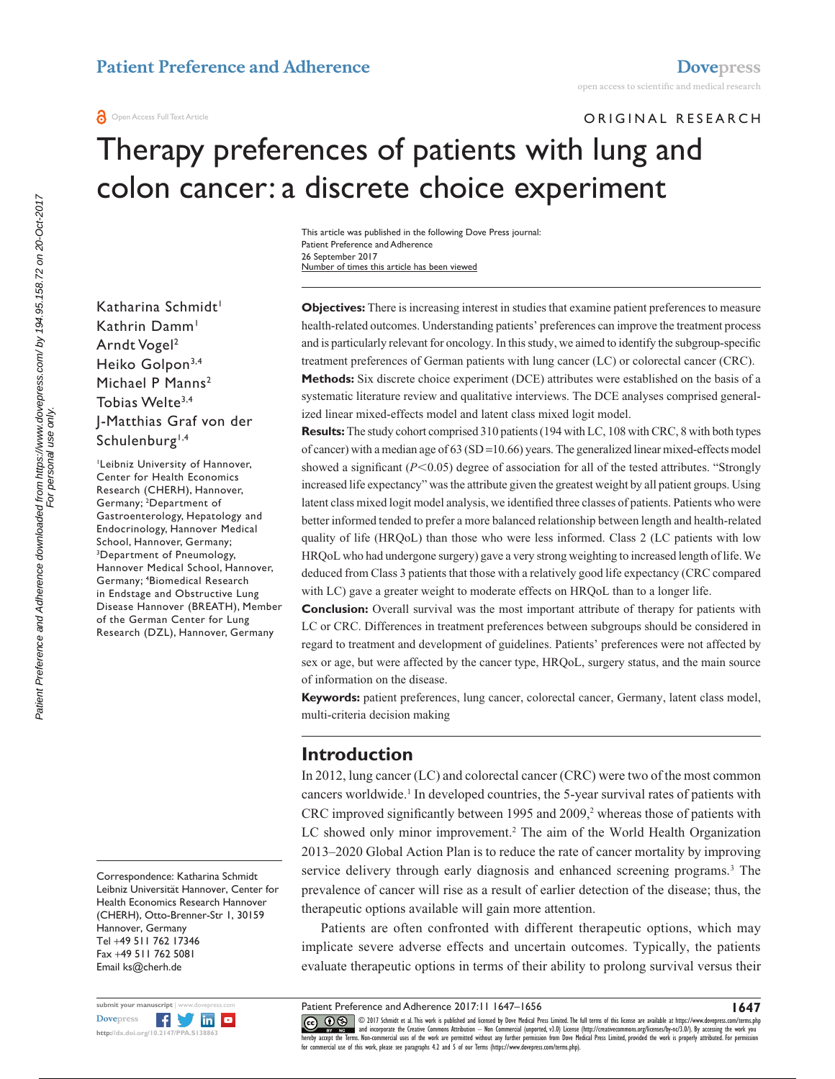### Patient Preference and Adherence **[Dovepress](www.dovepress.com)**

**a** Open Access Full Text Article

## ORIGINAL RESEARCH

# Therapy preferences of patients with lung and colon cancer: a discrete choice experiment

Number of times this article has been viewed This article was published in the following Dove Press journal: Patient Preference and Adherence 26 September 2017

Katharina Schmidt<sup>1</sup> Kathrin Damm<sup>1</sup> Arndt Vogel2 Heiko Golpon3,4 Michael P Manns<sup>2</sup> Tobias Welte<sup>3,4</sup> J-Matthias Graf von der Schulenburg<sup>1,4</sup>

1 Leibniz University of Hannover, Center for Health Economics Research (CHERH), Hannover, Germany; 2 Department of Gastroenterology, Hepatology and Endocrinology, Hannover Medical School, Hannover, Germany; Department of Pneumology, Hannover Medical School, Hannover, Germany; 4 Biomedical Research in Endstage and Obstructive Lung Disease Hannover (BREATH), Member of the German Center for Lung Research (DZL), Hannover, Germany

Correspondence: Katharina Schmidt Leibniz Universität Hannover, Center for Health Economics Research Hannover (CHERH), Otto-Brenner-Str 1, 30159 Hannover, Germany Tel +49 511 762 17346 Fax +49 511 762 5081 Email [ks@cherh.de](mailto:ks@cherh.de)



**Objectives:** There is increasing interest in studies that examine patient preferences to measure health-related outcomes. Understanding patients' preferences can improve the treatment process and is particularly relevant for oncology. In this study, we aimed to identify the subgroup-specific treatment preferences of German patients with lung cancer (LC) or colorectal cancer (CRC).

**Methods:** Six discrete choice experiment (DCE) attributes were established on the basis of a systematic literature review and qualitative interviews. The DCE analyses comprised generalized linear mixed-effects model and latent class mixed logit model.

**Results:** The study cohort comprised 310 patients (194 with LC, 108 with CRC, 8 with both types of cancer) with a median age of 63 (SD =10.66) years. The generalized linear mixed-effects model showed a significant  $(P<0.05)$  degree of association for all of the tested attributes. "Strongly increased life expectancy" was the attribute given the greatest weight by all patient groups. Using latent class mixed logit model analysis, we identified three classes of patients. Patients who were better informed tended to prefer a more balanced relationship between length and health-related quality of life (HRQoL) than those who were less informed. Class 2 (LC patients with low HRQoL who had undergone surgery) gave a very strong weighting to increased length of life. We deduced from Class 3 patients that those with a relatively good life expectancy (CRC compared with LC) gave a greater weight to moderate effects on HRQoL than to a longer life.

**Conclusion:** Overall survival was the most important attribute of therapy for patients with LC or CRC. Differences in treatment preferences between subgroups should be considered in regard to treatment and development of guidelines. Patients' preferences were not affected by sex or age, but were affected by the cancer type, HRQoL, surgery status, and the main source of information on the disease.

**Keywords:** patient preferences, lung cancer, colorectal cancer, Germany, latent class model, multi-criteria decision making

# **Introduction**

In 2012, lung cancer (LC) and colorectal cancer (CRC) were two of the most common cancers worldwide.<sup>1</sup> In developed countries, the 5-year survival rates of patients with CRC improved significantly between 1995 and  $2009$ ,<sup>2</sup> whereas those of patients with LC showed only minor improvement.<sup>2</sup> The aim of the World Health Organization 2013–2020 Global Action Plan is to reduce the rate of cancer mortality by improving service delivery through early diagnosis and enhanced screening programs.<sup>3</sup> The prevalence of cancer will rise as a result of earlier detection of the disease; thus, the therapeutic options available will gain more attention.

Patients are often confronted with different therapeutic options, which may implicate severe adverse effects and uncertain outcomes. Typically, the patients evaluate therapeutic options in terms of their ability to prolong survival versus their

CCC 1 © 2017 Schmidt et al. This work is published and licensed by Dove Medical Press Limited. The full terms of this license are available at <https://www.dovepress.com/terms.php><br>[hereby accept the Terms](http://www.dovepress.com/permissions.php). Non-commercial use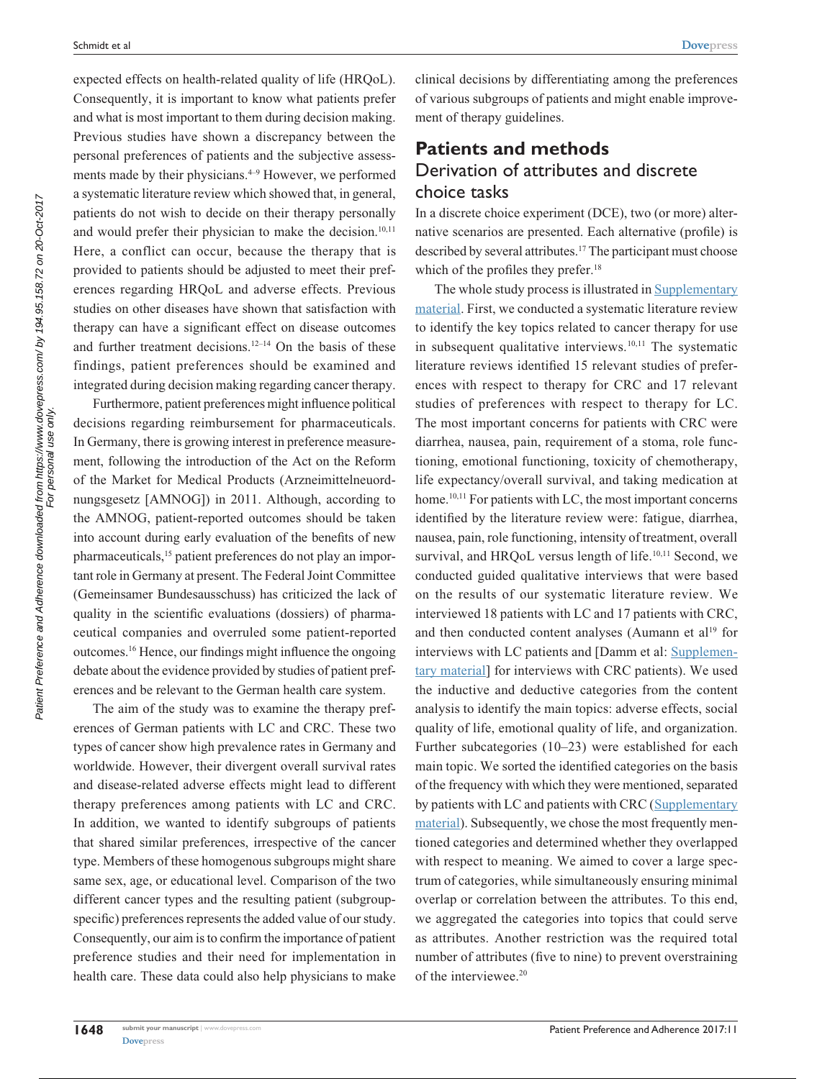expected effects on health-related quality of life (HRQoL). Consequently, it is important to know what patients prefer and what is most important to them during decision making. Previous studies have shown a discrepancy between the personal preferences of patients and the subjective assessments made by their physicians.<sup>4-9</sup> However, we performed a systematic literature review which showed that, in general, patients do not wish to decide on their therapy personally and would prefer their physician to make the decision.<sup>10,11</sup> Here, a conflict can occur, because the therapy that is provided to patients should be adjusted to meet their preferences regarding HRQoL and adverse effects. Previous studies on other diseases have shown that satisfaction with therapy can have a significant effect on disease outcomes and further treatment decisions.12–14 On the basis of these findings, patient preferences should be examined and integrated during decision making regarding cancer therapy.

Furthermore, patient preferences might influence political decisions regarding reimbursement for pharmaceuticals. In Germany, there is growing interest in preference measurement, following the introduction of the Act on the Reform of the Market for Medical Products (Arzneimittelneuordnungsgesetz [AMNOG]) in 2011. Although, according to the AMNOG, patient-reported outcomes should be taken into account during early evaluation of the benefits of new pharmaceuticals,15 patient preferences do not play an important role in Germany at present. The Federal Joint Committee (Gemeinsamer Bundesausschuss) has criticized the lack of quality in the scientific evaluations (dossiers) of pharmaceutical companies and overruled some patient-reported outcomes.16 Hence, our findings might influence the ongoing debate about the evidence provided by studies of patient preferences and be relevant to the German health care system.

The aim of the study was to examine the therapy preferences of German patients with LC and CRC. These two types of cancer show high prevalence rates in Germany and worldwide. However, their divergent overall survival rates and disease-related adverse effects might lead to different therapy preferences among patients with LC and CRC. In addition, we wanted to identify subgroups of patients that shared similar preferences, irrespective of the cancer type. Members of these homogenous subgroups might share same sex, age, or educational level. Comparison of the two different cancer types and the resulting patient (subgroupspecific) preferences represents the added value of our study. Consequently, our aim is to confirm the importance of patient preference studies and their need for implementation in health care. These data could also help physicians to make clinical decisions by differentiating among the preferences of various subgroups of patients and might enable improvement of therapy guidelines.

# **Patients and methods** Derivation of attributes and discrete choice tasks

In a discrete choice experiment (DCE), two (or more) alternative scenarios are presented. Each alternative (profile) is described by several attributes.<sup>17</sup> The participant must choose which of the profiles they prefer.<sup>18</sup>

The whole study process is illustrated in [Supplementary](https://www.cherh.de/6908.html?&L=1) [material.](https://www.cherh.de/6908.html?&L=1) First, we conducted a systematic literature review to identify the key topics related to cancer therapy for use in subsequent qualitative interviews.<sup>10,11</sup> The systematic literature reviews identified 15 relevant studies of preferences with respect to therapy for CRC and 17 relevant studies of preferences with respect to therapy for LC. The most important concerns for patients with CRC were diarrhea, nausea, pain, requirement of a stoma, role functioning, emotional functioning, toxicity of chemotherapy, life expectancy/overall survival, and taking medication at home.<sup>10,11</sup> For patients with LC, the most important concerns identified by the literature review were: fatigue, diarrhea, nausea, pain, role functioning, intensity of treatment, overall survival, and HRQoL versus length of life.<sup>10,11</sup> Second, we conducted guided qualitative interviews that were based on the results of our systematic literature review. We interviewed 18 patients with LC and 17 patients with CRC, and then conducted content analyses (Aumann et al<sup>19</sup> for interviews with LC patients and [Damm et al: [Supplemen](https://www.cherh.de/6908.html?&L=1)[tary material](https://www.cherh.de/6908.html?&L=1)] for interviews with CRC patients). We used the inductive and deductive categories from the content analysis to identify the main topics: adverse effects, social quality of life, emotional quality of life, and organization. Further subcategories (10–23) were established for each main topic. We sorted the identified categories on the basis of the frequency with which they were mentioned, separated by patients with LC and patients with CRC ([Supplementary](https://www.cherh.de/6908.html?&L=1) [material](https://www.cherh.de/6908.html?&L=1)). Subsequently, we chose the most frequently mentioned categories and determined whether they overlapped with respect to meaning. We aimed to cover a large spectrum of categories, while simultaneously ensuring minimal overlap or correlation between the attributes. To this end, we aggregated the categories into topics that could serve as attributes. Another restriction was the required total number of attributes (five to nine) to prevent overstraining of the interviewee.<sup>20</sup>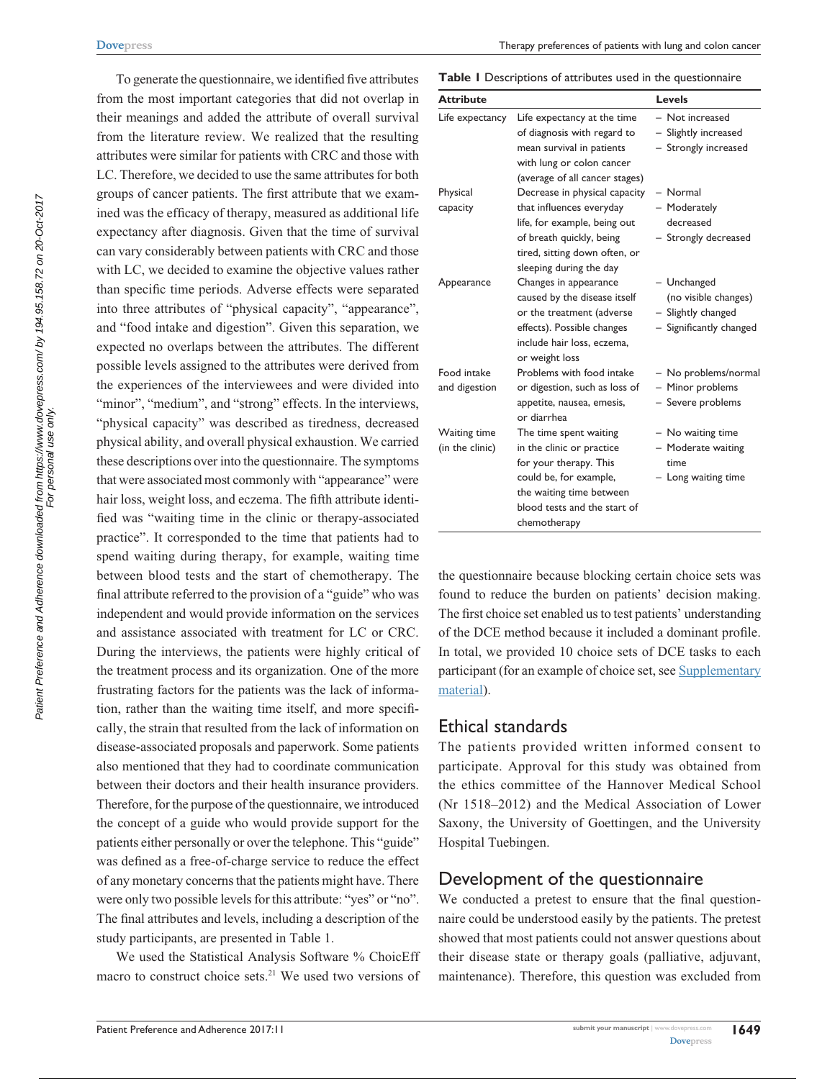To generate the questionnaire, we identified five attributes from the most important categories that did not overlap in their meanings and added the attribute of overall survival from the literature review. We realized that the resulting attributes were similar for patients with CRC and those with LC. Therefore, we decided to use the same attributes for both groups of cancer patients. The first attribute that we examined was the efficacy of therapy, measured as additional life expectancy after diagnosis. Given that the time of survival can vary considerably between patients with CRC and those with LC, we decided to examine the objective values rather than specific time periods. Adverse effects were separated into three attributes of "physical capacity", "appearance", and "food intake and digestion". Given this separation, we expected no overlaps between the attributes. The different possible levels assigned to the attributes were derived from the experiences of the interviewees and were divided into "minor", "medium", and "strong" effects. In the interviews, "physical capacity" was described as tiredness, decreased physical ability, and overall physical exhaustion. We carried these descriptions over into the questionnaire. The symptoms that were associated most commonly with "appearance" were hair loss, weight loss, and eczema. The fifth attribute identified was "waiting time in the clinic or therapy-associated practice". It corresponded to the time that patients had to spend waiting during therapy, for example, waiting time between blood tests and the start of chemotherapy. The final attribute referred to the provision of a "guide" who was independent and would provide information on the services and assistance associated with treatment for LC or CRC. During the interviews, the patients were highly critical of the treatment process and its organization. One of the more frustrating factors for the patients was the lack of information, rather than the waiting time itself, and more specifically, the strain that resulted from the lack of information on disease-associated proposals and paperwork. Some patients also mentioned that they had to coordinate communication between their doctors and their health insurance providers. Therefore, for the purpose of the questionnaire, we introduced the concept of a guide who would provide support for the patients either personally or over the telephone. This "guide" was defined as a free-of-charge service to reduce the effect of any monetary concerns that the patients might have. There were only two possible levels for this attribute: "yes" or "no". The final attributes and levels, including a description of the study participants, are presented in Table 1.

We used the Statistical Analysis Software % ChoicEff macro to construct choice sets.21 We used two versions of **Table 1** Descriptions of attributes used in the questionnaire

| <b>Attribute</b>                       |                                                                                                                                                                                     | <b>Levels</b>                                                                        |
|----------------------------------------|-------------------------------------------------------------------------------------------------------------------------------------------------------------------------------------|--------------------------------------------------------------------------------------|
| Life expectancy                        | Life expectancy at the time<br>of diagnosis with regard to<br>mean survival in patients<br>with lung or colon cancer<br>(average of all cancer stages)                              | - Not increased<br>- Slightly increased<br>- Strongly increased                      |
| Physical<br>capacity                   | Decrease in physical capacity<br>that influences everyday<br>life, for example, being out<br>of breath quickly, being<br>tired, sitting down often, or<br>sleeping during the day   | - Normal<br>- Moderately<br>decreased<br>- Strongly decreased                        |
| Appearance                             | Changes in appearance<br>caused by the disease itself<br>or the treatment (adverse<br>effects). Possible changes<br>include hair loss, eczema,<br>or weight loss                    | - Unchanged<br>(no visible changes)<br>- Slightly changed<br>- Significantly changed |
| Food intake<br>and digestion           | Problems with food intake<br>or digestion, such as loss of<br>appetite, nausea, emesis,<br>or diarrhea                                                                              | - No problems/normal<br>- Minor problems<br>- Severe problems                        |
| <b>Waiting time</b><br>(in the clinic) | The time spent waiting<br>in the clinic or practice<br>for your therapy. This<br>could be, for example,<br>the waiting time between<br>blood tests and the start of<br>chemotherapy | - No waiting time<br>- Moderate waiting<br>time<br>- Long waiting time               |

the questionnaire because blocking certain choice sets was found to reduce the burden on patients' decision making. The first choice set enabled us to test patients' understanding of the DCE method because it included a dominant profile. In total, we provided 10 choice sets of DCE tasks to each participant (for an example of choice set, see [Supplementary](https://www.cherh.de/6908.html?&L=1) [material](https://www.cherh.de/6908.html?&L=1)).

#### Ethical standards

The patients provided written informed consent to participate. Approval for this study was obtained from the ethics committee of the Hannover Medical School (Nr 1518–2012) and the Medical Association of Lower Saxony, the University of Goettingen, and the University Hospital Tuebingen.

## Development of the questionnaire

We conducted a pretest to ensure that the final questionnaire could be understood easily by the patients. The pretest showed that most patients could not answer questions about their disease state or therapy goals (palliative, adjuvant, maintenance). Therefore, this question was excluded from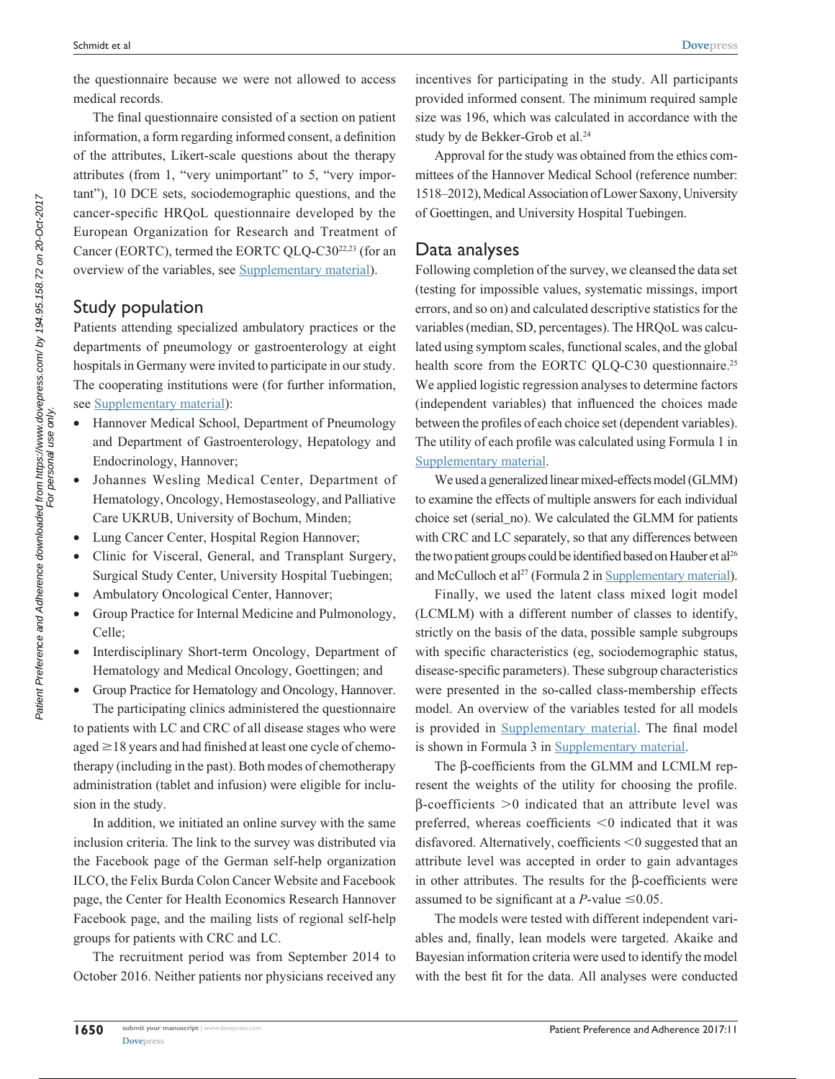the questionnaire because we were not allowed to access medical records.

The final questionnaire consisted of a section on patient information, a form regarding informed consent, a definition of the attributes, Likert-scale questions about the therapy attributes (from 1, "very unimportant" to 5, "very important"), 10 DCE sets, sociodemographic questions, and the cancer-specific HRQoL questionnaire developed by the European Organization for Research and Treatment of Cancer (EORTC), termed the EORTC QLQ-C30<sup>22,23</sup> (for an overview of the variables, see [Supplementary material](https://www.cherh.de/6908.html?&L=1)).

## Study population

Patients attending specialized ambulatory practices or the departments of pneumology or gastroenterology at eight hospitals in Germany were invited to participate in our study. The cooperating institutions were (for further information, see **Supplementary material**):

- Hannover Medical School, Department of Pneumology and Department of Gastroenterology, Hepatology and Endocrinology, Hannover;
- Johannes Wesling Medical Center, Department of Hematology, Oncology, Hemostaseology, and Palliative Care UKRUB, University of Bochum, Minden;
- Lung Cancer Center, Hospital Region Hannover;
- Clinic for Visceral, General, and Transplant Surgery, Surgical Study Center, University Hospital Tuebingen;
- Ambulatory Oncological Center, Hannover;
- Group Practice for Internal Medicine and Pulmonology, Celle;
- Interdisciplinary Short-term Oncology, Department of Hematology and Medical Oncology, Goettingen; and

Group Practice for Hematology and Oncology, Hannover. The participating clinics administered the questionnaire to patients with LC and CRC of all disease stages who were aged  $\geq$  18 years and had finished at least one cycle of chemotherapy (including in the past). Both modes of chemotherapy administration (tablet and infusion) were eligible for inclusion in the study.

In addition, we initiated an online survey with the same inclusion criteria. The link to the survey was distributed via the Facebook page of the German self-help organization ILCO, the Felix Burda Colon Cancer Website and Facebook page, the Center for Health Economics Research Hannover Facebook page, and the mailing lists of regional self-help groups for patients with CRC and LC.

The recruitment period was from September 2014 to October 2016. Neither patients nor physicians received any incentives for participating in the study. All participants provided informed consent. The minimum required sample size was 196, which was calculated in accordance with the study by de Bekker-Grob et al.<sup>24</sup>

Approval for the study was obtained from the ethics committees of the Hannover Medical School (reference number: 1518–2012), Medical Association of Lower Saxony, University of Goettingen, and University Hospital Tuebingen.

#### Data analyses

Following completion of the survey, we cleansed the data set (testing for impossible values, systematic missings, import errors, and so on) and calculated descriptive statistics for the variables (median, SD, percentages). The HRQoL was calculated using symptom scales, functional scales, and the global health score from the EORTC QLQ-C30 questionnaire.<sup>25</sup> We applied logistic regression analyses to determine factors (independent variables) that influenced the choices made between the profiles of each choice set (dependent variables). The utility of each profile was calculated using Formula 1 in [Supplementary material](https://www.cherh.de/6908.html?&L=1).

We used a generalized linear mixed-effects model (GLMM) to examine the effects of multiple answers for each individual choice set (serial\_no). We calculated the GLMM for patients with CRC and LC separately, so that any differences between the two patient groups could be identified based on Hauber et al<sup>26</sup> and McCulloch et al<sup>27</sup> (Formula 2 in [Supplementary material\)](https://www.cherh.de/6908.html?&L=1).

Finally, we used the latent class mixed logit model (LCMLM) with a different number of classes to identify, strictly on the basis of the data, possible sample subgroups with specific characteristics (eg, sociodemographic status, disease-specific parameters). These subgroup characteristics were presented in the so-called class-membership effects model. An overview of the variables tested for all models is provided in [Supplementary material](https://www.cherh.de/6908.html?&L=1). The final model is shown in Formula 3 in [Supplementary material.](https://www.cherh.de/6908.html?&L=1)

The β-coefficients from the GLMM and LCMLM represent the weights of the utility for choosing the profile.  $β$ -coefficients  $>0$  indicated that an attribute level was preferred, whereas coefficients  $<$ 0 indicated that it was disfavored. Alternatively, coefficients  $<$ 0 suggested that an attribute level was accepted in order to gain advantages in other attributes. The results for the β-coefficients were assumed to be significant at a *P*-value  $\leq 0.05$ .

The models were tested with different independent variables and, finally, lean models were targeted. Akaike and Bayesian information criteria were used to identify the model with the best fit for the data. All analyses were conducted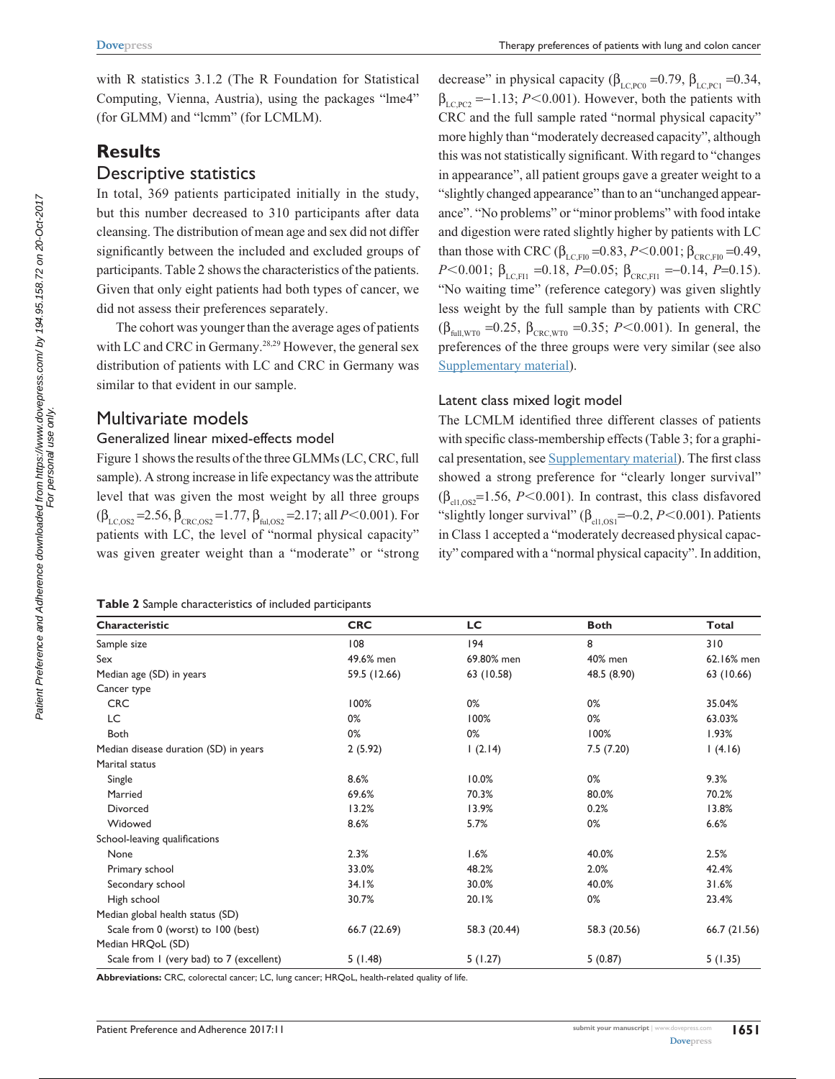with R statistics 3.1.2 (The R Foundation for Statistical Computing, Vienna, Austria), using the packages "lme4" (for GLMM) and "lcmm" (for LCMLM).

# **Results**

#### Descriptive statistics

In total, 369 patients participated initially in the study, but this number decreased to 310 participants after data cleansing. The distribution of mean age and sex did not differ significantly between the included and excluded groups of participants. Table 2 shows the characteristics of the patients. Given that only eight patients had both types of cancer, we did not assess their preferences separately.

The cohort was younger than the average ages of patients with LC and CRC in Germany.<sup>28,29</sup> However, the general sex distribution of patients with LC and CRC in Germany was similar to that evident in our sample.

### Multivariate models

#### Generalized linear mixed-effects model

Figure 1 shows the results of the three GLMMs (LC, CRC, full sample). A strong increase in life expectancy was the attribute level that was given the most weight by all three groups  $(\beta_{\text{LC,OS2}} = 2.56, \beta_{\text{CRC,OS2}} = 1.77, \beta_{\text{fil,OS2}} = 2.17$ ; all *P*<0.001). For patients with LC, the level of "normal physical capacity" was given greater weight than a "moderate" or "strong

decrease" in physical capacity ( $\beta_{\text{LC,PC0}}$  =0.79,  $\beta_{\text{LC,PC1}}$  =0.34,  $\beta_{LCPCC} = -1.13$ ; *P*<0.001). However, both the patients with CRC and the full sample rated "normal physical capacity" more highly than "moderately decreased capacity", although this was not statistically significant. With regard to "changes in appearance", all patient groups gave a greater weight to a "slightly changed appearance" than to an "unchanged appearance". "No problems" or "minor problems" with food intake and digestion were rated slightly higher by patients with LC than those with CRC ( $\beta_{\text{LC,F10}}$  =0.83, *P*<0.001;  $\beta_{\text{CRC,F10}}$  =0.49,  $P<0.001$ ;  $\beta_{\text{LC,FI1}} = 0.18$ ,  $P=0.05$ ;  $\beta_{\text{CRC,FI1}} = -0.14$ ,  $P=0.15$ ). "No waiting time" (reference category) was given slightly less weight by the full sample than by patients with CRC  $(\beta_{\text{full-WTO}} = 0.25, \beta_{\text{CRCWTO}} = 0.35; P < 0.001)$ . In general, the preferences of the three groups were very similar (see also [Supplementary material](https://www.cherh.de/6908.html?&L=1)).

#### Latent class mixed logit model

The LCMLM identified three different classes of patients with specific class-membership effects (Table 3; for a graphical presentation, see [Supplementary material\)](https://www.cherh.de/6908.html?&L=1). The first class showed a strong preference for "clearly longer survival"  $(\beta_{\text{cl-OS2}}=1.56, P<0.001)$ . In contrast, this class disfavored "slightly longer survival" ( $\beta_{\text{cl.OS1}}$ =–0.2, *P*<0.001). Patients in Class 1 accepted a "moderately decreased physical capacity" compared with a "normal physical capacity". In addition,

| Table 2 Sample characteristics of included participants |  |  |  |
|---------------------------------------------------------|--|--|--|
|---------------------------------------------------------|--|--|--|

| Characteristic                           | <b>CRC</b>   | LC           | <b>Both</b>  | <b>Total</b> |
|------------------------------------------|--------------|--------------|--------------|--------------|
| Sample size                              | 108          | 194          | 8            | 310          |
| Sex                                      | 49.6% men    | 69.80% men   | 40% men      | 62.16% men   |
| Median age (SD) in years                 | 59.5 (12.66) | 63 (10.58)   | 48.5 (8.90)  | 63 (10.66)   |
| Cancer type                              |              |              |              |              |
| <b>CRC</b>                               | 100%         | 0%           | 0%           | 35.04%       |
| LC.                                      | 0%           | 100%         | 0%           | 63.03%       |
| Both                                     | 0%           | 0%           | 100%         | 1.93%        |
| Median disease duration (SD) in years    | 2(5.92)      | (2.14)       | 7.5(7.20)    | 1(4.16)      |
| Marital status                           |              |              |              |              |
| Single                                   | 8.6%         | 10.0%        | 0%           | 9.3%         |
| Married                                  | 69.6%        | 70.3%        | 80.0%        | 70.2%        |
| Divorced                                 | 13.2%        | 13.9%        | 0.2%         | 13.8%        |
| Widowed                                  | 8.6%         | 5.7%         | 0%           | 6.6%         |
| School-leaving qualifications            |              |              |              |              |
| None                                     | 2.3%         | 1.6%         | 40.0%        | 2.5%         |
| Primary school                           | 33.0%        | 48.2%        | 2.0%         | 42.4%        |
| Secondary school                         | 34.1%        | 30.0%        | 40.0%        | 31.6%        |
| High school                              | 30.7%        | 20.1%        | 0%           | 23.4%        |
| Median global health status (SD)         |              |              |              |              |
| Scale from 0 (worst) to 100 (best)       | 66.7 (22.69) | 58.3 (20.44) | 58.3 (20.56) | 66.7 (21.56) |
| Median HRQoL (SD)                        |              |              |              |              |
| Scale from 1 (very bad) to 7 (excellent) | 5(1.48)      | 5(1.27)      | 5(0.87)      | 5(1.35)      |

**Abbreviations:** CRC, colorectal cancer; LC, lung cancer; HRQoL, health-related quality of life.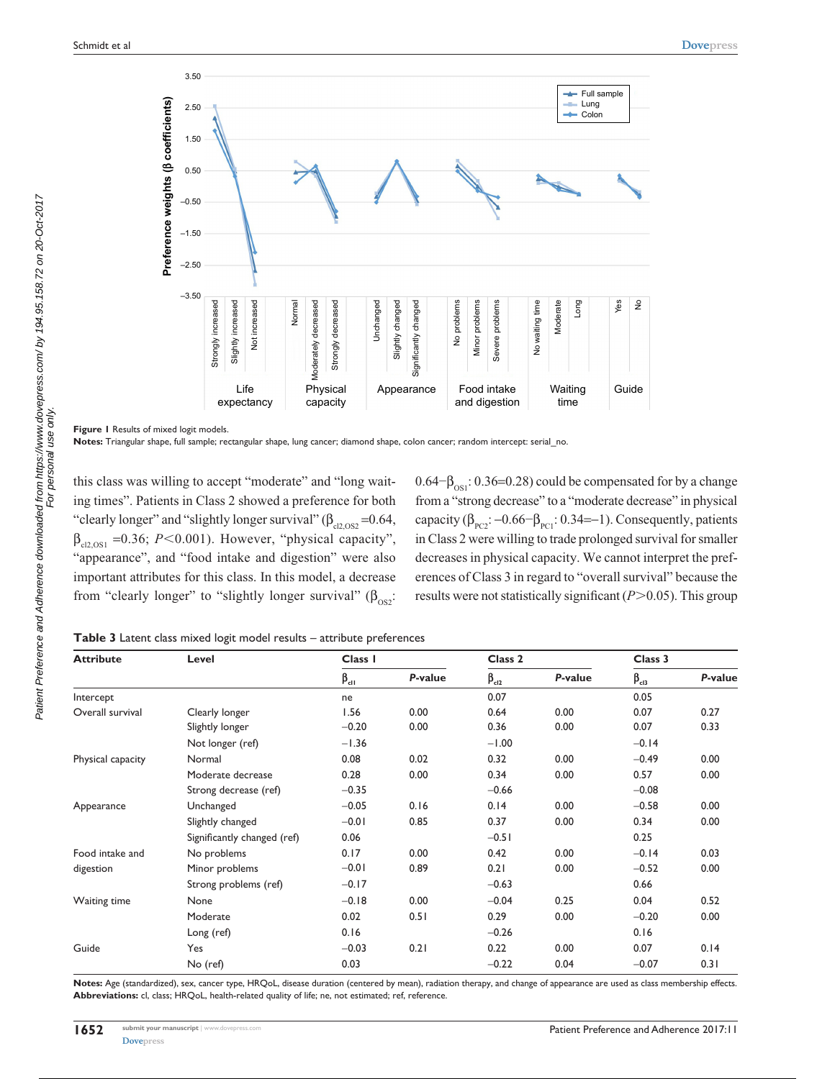

**Figure 1 Results of mixed logit models.** 

**Notes:** Triangular shape, full sample; rectangular shape, lung cancer; diamond shape, colon cancer; random intercept: serial\_no.

this class was willing to accept "moderate" and "long waiting times". Patients in Class 2 showed a preference for both "clearly longer" and "slightly longer survival"  $(\beta_{c12,0S2} = 0.64,$  $\beta_{c2,0S1}$  =0.36; *P*<0.001). However, "physical capacity", "appearance", and "food intake and digestion" were also important attributes for this class. In this model, a decrease from "clearly longer" to "slightly longer survival" ( $\beta_{OS2}$ :

 $0.64-\beta_{0.81}: 0.36=0.28$  could be compensated for by a change from a "strong decrease" to a "moderate decrease" in physical capacity ( $\beta_{PC2}$ : -0.66– $\beta_{PC1}$ : 0.34=–1). Consequently, patients in Class 2 were willing to trade prolonged survival for smaller decreases in physical capacity. We cannot interpret the preferences of Class 3 in regard to "overall survival" because the results were not statistically significant (*P*>0.05). This group

|  |  |  |  |  |  |  | ${\sf Table~3}$ Latent class mixed logit model results – attribute preferences |  |  |
|--|--|--|--|--|--|--|--------------------------------------------------------------------------------|--|--|
|--|--|--|--|--|--|--|--------------------------------------------------------------------------------|--|--|

| <b>Attribute</b>  | Level                       | Class I           |         | Class 2       |         | Class 3       |         |
|-------------------|-----------------------------|-------------------|---------|---------------|---------|---------------|---------|
|                   |                             | $\beta_{\rm cII}$ | P-value | $\beta_{c12}$ | P-value | $\beta_{c13}$ | P-value |
| Intercept         |                             | ne                |         | 0.07          |         | 0.05          |         |
| Overall survival  | Clearly longer              | 1.56              | 0.00    | 0.64          | 0.00    | 0.07          | 0.27    |
|                   | Slightly longer             | $-0.20$           | 0.00    | 0.36          | 0.00    | 0.07          | 0.33    |
|                   | Not longer (ref)            | $-1.36$           |         | $-1.00$       |         | $-0.14$       |         |
| Physical capacity | Normal                      | 0.08              | 0.02    | 0.32          | 0.00    | $-0.49$       | 0.00    |
|                   | Moderate decrease           | 0.28              | 0.00    | 0.34          | 0.00    | 0.57          | 0.00    |
|                   | Strong decrease (ref)       | $-0.35$           |         | $-0.66$       |         | $-0.08$       |         |
| Appearance        | Unchanged                   | $-0.05$           | 0.16    | 0.14          | 0.00    | $-0.58$       | 0.00    |
|                   | Slightly changed            | $-0.01$           | 0.85    | 0.37          | 0.00    | 0.34          | 0.00    |
|                   | Significantly changed (ref) | 0.06              |         | $-0.51$       |         | 0.25          |         |
| Food intake and   | No problems                 | 0.17              | 0.00    | 0.42          | 0.00    | $-0.14$       | 0.03    |
| digestion         | Minor problems              | $-0.01$           | 0.89    | 0.21          | 0.00    | $-0.52$       | 0.00    |
|                   | Strong problems (ref)       | $-0.17$           |         | $-0.63$       |         | 0.66          |         |
| Waiting time      | None                        | $-0.18$           | 0.00    | $-0.04$       | 0.25    | 0.04          | 0.52    |
|                   | Moderate                    | 0.02              | 0.51    | 0.29          | 0.00    | $-0.20$       | 0.00    |
|                   | Long (ref)                  | 0.16              |         | $-0.26$       |         | 0.16          |         |
| Guide             | Yes                         | $-0.03$           | 0.21    | 0.22          | 0.00    | 0.07          | 0.14    |
|                   | No (ref)                    | 0.03              |         | $-0.22$       | 0.04    | $-0.07$       | 0.31    |

**Notes:** Age (standardized), sex, cancer type, HRQoL, disease duration (centered by mean), radiation therapy, and change of appearance are used as class membership effects. **Abbreviations:** cl, class; HRQoL, health-related quality of life; ne, not estimated; ref, reference.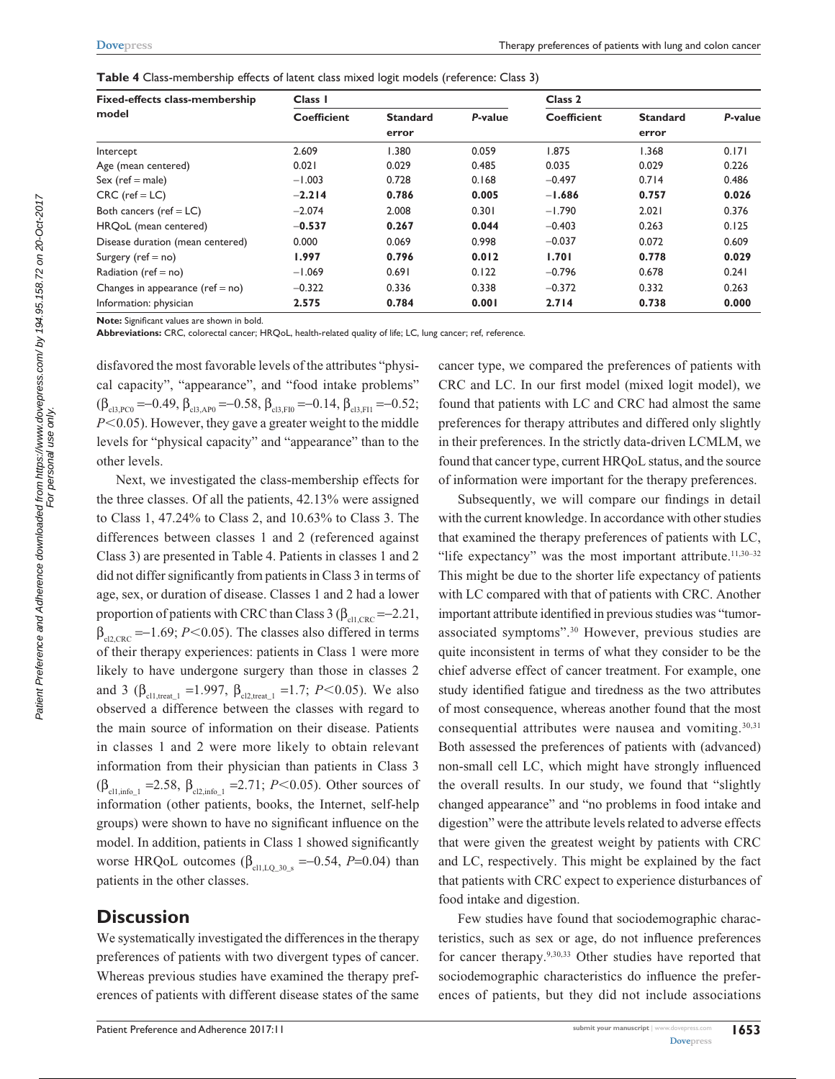Patient Preference and Adherence downloaded from https://www.dovepress.com/ by 194.95.158.72 on 20-Oct-2017<br>For personal use only Patient Preference and Adherence downloaded from https://www.dovepress.com/ by 194.95.158.72 on 20-Oct-2017 For personal use only.

| Table 4 Class-membership effects of latent class mixed logit models (reference: Class 3) |  |  |  |
|------------------------------------------------------------------------------------------|--|--|--|
|                                                                                          |  |  |  |

| Fixed-effects class-membership       | Class I            |                 |         | Class 2            |                 |         |  |
|--------------------------------------|--------------------|-----------------|---------|--------------------|-----------------|---------|--|
| model                                | <b>Coefficient</b> | <b>Standard</b> | P-value | <b>Coefficient</b> | <b>Standard</b> | P-value |  |
|                                      |                    | error           |         |                    | error           |         |  |
| Intercept                            | 2.609              | .380            | 0.059   | 1.875              | 1.368           | 0.171   |  |
| Age (mean centered)                  | 0.021              | 0.029           | 0.485   | 0.035              | 0.029           | 0.226   |  |
| Sex (ref = male)                     | $-1.003$           | 0.728           | 0.168   | $-0.497$           | 0.714           | 0.486   |  |
| $CRC$ (ref = LC)                     | $-2.214$           | 0.786           | 0.005   | $-1.686$           | 0.757           | 0.026   |  |
| Both cancers (ref = $LC$ )           | $-2.074$           | 2.008           | 0.301   | $-1.790$           | 2.021           | 0.376   |  |
| HRQoL (mean centered)                | $-0.537$           | 0.267           | 0.044   | $-0.403$           | 0.263           | 0.125   |  |
| Disease duration (mean centered)     | 0.000              | 0.069           | 0.998   | $-0.037$           | 0.072           | 0.609   |  |
| Surgery ( $ref = no$ )               | 1.997              | 0.796           | 0.012   | 1.701              | 0.778           | 0.029   |  |
| Radiation (ref = $no$ )              | $-1.069$           | 0.691           | 0.122   | $-0.796$           | 0.678           | 0.241   |  |
| Changes in appearance ( $ref = no$ ) | $-0.322$           | 0.336           | 0.338   | $-0.372$           | 0.332           | 0.263   |  |
| Information: physician               | 2.575              | 0.784           | 0.001   | 2.714              | 0.738           | 0.000   |  |

**Note:** Significant values are shown in bold.

**Abbreviations:** CRC, colorectal cancer; HRQoL, health-related quality of life; LC, lung cancer; ref, reference.

disfavored the most favorable levels of the attributes "physical capacity", "appearance", and "food intake problems"  $(\beta_{c13,PC0} = -0.49, \beta_{c13,AP0} = -0.58, \beta_{c13,F10} = -0.14, \beta_{c13,F11} = -0.52;$  $P<0.05$ ). However, they gave a greater weight to the middle levels for "physical capacity" and "appearance" than to the other levels.

Next, we investigated the class-membership effects for the three classes. Of all the patients, 42.13% were assigned to Class 1, 47.24% to Class 2, and 10.63% to Class 3. The differences between classes 1 and 2 (referenced against Class 3) are presented in Table 4. Patients in classes 1 and 2 did not differ significantly from patients in Class 3 in terms of age, sex, or duration of disease. Classes 1 and 2 had a lower proportion of patients with CRC than Class 3 ( $\beta_{\text{clLCRC}} = -2.21$ ,  $\beta_{\text{cl2, CRC}} = -1.69$ ; *P*<0.05). The classes also differed in terms of their therapy experiences: patients in Class 1 were more likely to have undergone surgery than those in classes 2 and 3 ( $\beta_{\text{cl1,treat\_l}} = 1.997$ ,  $\beta_{\text{cl2,treat\_l}} = 1.7$ ; *P*<0.05). We also observed a difference between the classes with regard to the main source of information on their disease. Patients in classes 1 and 2 were more likely to obtain relevant information from their physician than patients in Class 3  $(β<sub>cl.iufo-1</sub> = 2.58, β<sub>cl2.info-1</sub> = 2.71; P < 0.05)$ . Other sources of information (other patients, books, the Internet, self-help groups) were shown to have no significant influence on the model. In addition, patients in Class 1 showed significantly worse HRQoL outcomes ( $\beta$ <sub>cl1,LO</sub> <sub>30</sub> s =–0.54, *P*=0.04) than patients in the other classes.

#### **Discussion**

We systematically investigated the differences in the therapy preferences of patients with two divergent types of cancer. Whereas previous studies have examined the therapy preferences of patients with different disease states of the same cancer type, we compared the preferences of patients with CRC and LC. In our first model (mixed logit model), we found that patients with LC and CRC had almost the same preferences for therapy attributes and differed only slightly in their preferences. In the strictly data-driven LCMLM, we found that cancer type, current HRQoL status, and the source of information were important for the therapy preferences.

Subsequently, we will compare our findings in detail with the current knowledge. In accordance with other studies that examined the therapy preferences of patients with LC, "life expectancy" was the most important attribute. $11,30-32$ This might be due to the shorter life expectancy of patients with LC compared with that of patients with CRC. Another important attribute identified in previous studies was "tumorassociated symptoms".30 However, previous studies are quite inconsistent in terms of what they consider to be the chief adverse effect of cancer treatment. For example, one study identified fatigue and tiredness as the two attributes of most consequence, whereas another found that the most consequential attributes were nausea and vomiting. $30,31$ Both assessed the preferences of patients with (advanced) non-small cell LC, which might have strongly influenced the overall results. In our study, we found that "slightly changed appearance" and "no problems in food intake and digestion" were the attribute levels related to adverse effects that were given the greatest weight by patients with CRC and LC, respectively. This might be explained by the fact that patients with CRC expect to experience disturbances of food intake and digestion.

Few studies have found that sociodemographic characteristics, such as sex or age, do not influence preferences for cancer therapy.<sup>9,30,33</sup> Other studies have reported that sociodemographic characteristics do influence the preferences of patients, but they did not include associations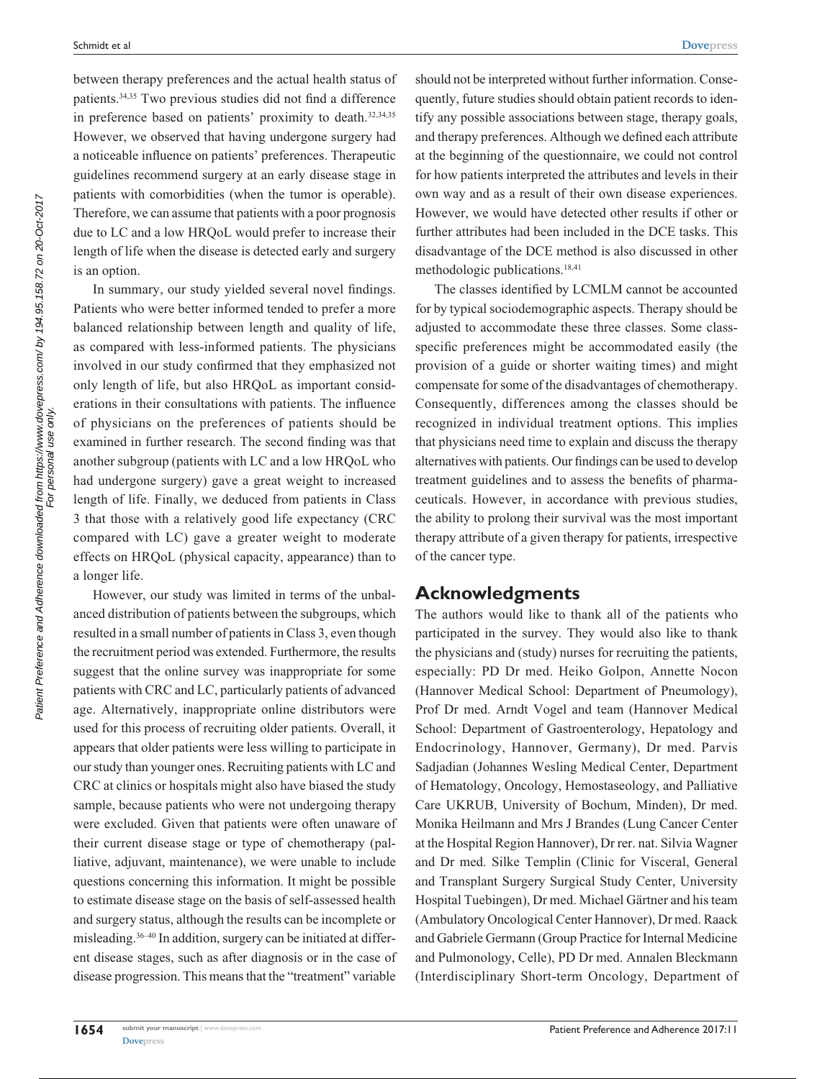between therapy preferences and the actual health status of patients.34,35 Two previous studies did not find a difference in preference based on patients' proximity to death.32,34,35 However, we observed that having undergone surgery had a noticeable influence on patients' preferences. Therapeutic guidelines recommend surgery at an early disease stage in patients with comorbidities (when the tumor is operable). Therefore, we can assume that patients with a poor prognosis due to LC and a low HRQoL would prefer to increase their length of life when the disease is detected early and surgery is an option.

In summary, our study yielded several novel findings. Patients who were better informed tended to prefer a more balanced relationship between length and quality of life, as compared with less-informed patients. The physicians involved in our study confirmed that they emphasized not only length of life, but also HRQoL as important considerations in their consultations with patients. The influence of physicians on the preferences of patients should be examined in further research. The second finding was that another subgroup (patients with LC and a low HRQoL who had undergone surgery) gave a great weight to increased length of life. Finally, we deduced from patients in Class 3 that those with a relatively good life expectancy (CRC compared with LC) gave a greater weight to moderate effects on HRQoL (physical capacity, appearance) than to a longer life.

However, our study was limited in terms of the unbalanced distribution of patients between the subgroups, which resulted in a small number of patients in Class 3, even though the recruitment period was extended. Furthermore, the results suggest that the online survey was inappropriate for some patients with CRC and LC, particularly patients of advanced age. Alternatively, inappropriate online distributors were used for this process of recruiting older patients. Overall, it appears that older patients were less willing to participate in our study than younger ones. Recruiting patients with LC and CRC at clinics or hospitals might also have biased the study sample, because patients who were not undergoing therapy were excluded. Given that patients were often unaware of their current disease stage or type of chemotherapy (palliative, adjuvant, maintenance), we were unable to include questions concerning this information. It might be possible to estimate disease stage on the basis of self-assessed health and surgery status, although the results can be incomplete or misleading.36–40 In addition, surgery can be initiated at different disease stages, such as after diagnosis or in the case of disease progression. This means that the "treatment" variable

should not be interpreted without further information. Consequently, future studies should obtain patient records to identify any possible associations between stage, therapy goals, and therapy preferences. Although we defined each attribute at the beginning of the questionnaire, we could not control for how patients interpreted the attributes and levels in their own way and as a result of their own disease experiences. However, we would have detected other results if other or further attributes had been included in the DCE tasks. This disadvantage of the DCE method is also discussed in other methodologic publications.<sup>18,41</sup>

The classes identified by LCMLM cannot be accounted for by typical sociodemographic aspects. Therapy should be adjusted to accommodate these three classes. Some classspecific preferences might be accommodated easily (the provision of a guide or shorter waiting times) and might compensate for some of the disadvantages of chemotherapy. Consequently, differences among the classes should be recognized in individual treatment options. This implies that physicians need time to explain and discuss the therapy alternatives with patients. Our findings can be used to develop treatment guidelines and to assess the benefits of pharmaceuticals. However, in accordance with previous studies, the ability to prolong their survival was the most important therapy attribute of a given therapy for patients, irrespective of the cancer type.

## **Acknowledgments**

The authors would like to thank all of the patients who participated in the survey. They would also like to thank the physicians and (study) nurses for recruiting the patients, especially: PD Dr med. Heiko Golpon, Annette Nocon (Hannover Medical School: Department of Pneumology), Prof Dr med. Arndt Vogel and team (Hannover Medical School: Department of Gastroenterology, Hepatology and Endocrinology, Hannover, Germany), Dr med. Parvis Sadjadian (Johannes Wesling Medical Center, Department of Hematology, Oncology, Hemostaseology, and Palliative Care UKRUB, University of Bochum, Minden), Dr med. Monika Heilmann and Mrs J Brandes (Lung Cancer Center at the Hospital Region Hannover), Dr rer. nat. Silvia Wagner and Dr med. Silke Templin (Clinic for Visceral, General and Transplant Surgery Surgical Study Center, University Hospital Tuebingen), Dr med. Michael Gärtner and his team (Ambulatory Oncological Center Hannover), Dr med. Raack and Gabriele Germann (Group Practice for Internal Medicine and Pulmonology, Celle), PD Dr med. Annalen Bleckmann (Interdisciplinary Short-term Oncology, Department of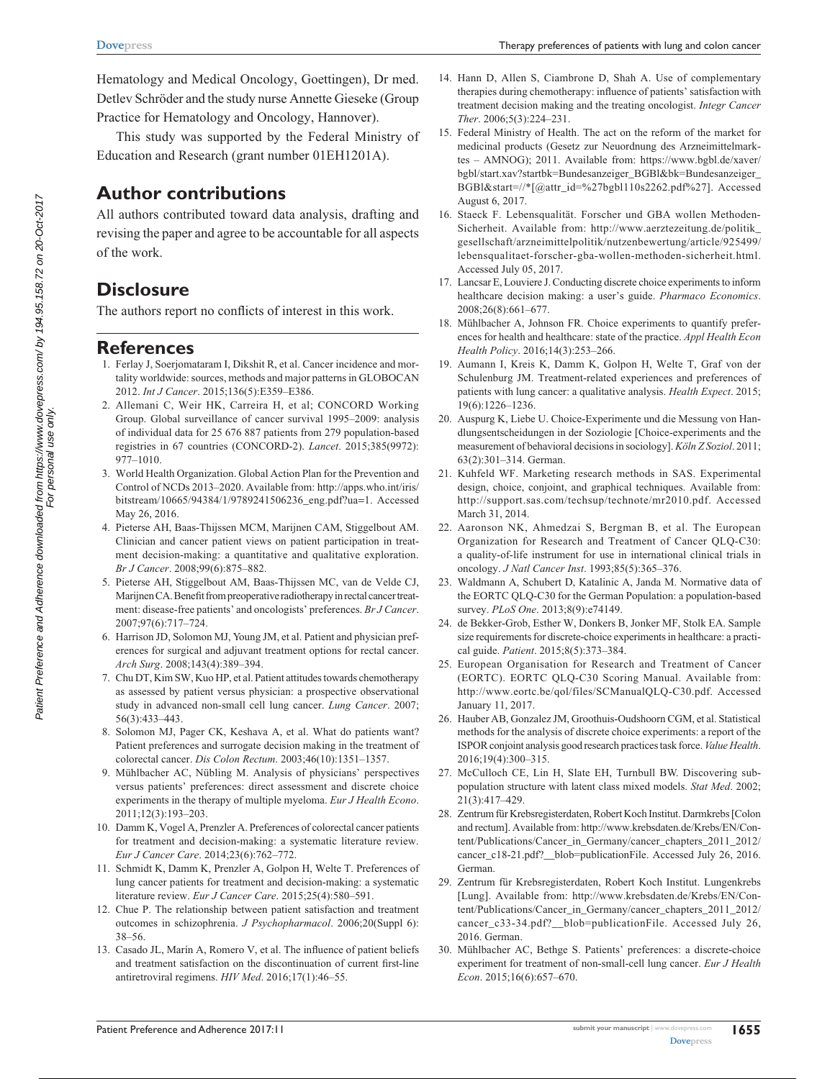Hematology and Medical Oncology, Goettingen), Dr med. Detlev Schröder and the study nurse Annette Gieseke (Group Practice for Hematology and Oncology, Hannover).

This study was supported by the Federal Ministry of Education and Research (grant number 01EH1201A).

# **Author contributions**

All authors contributed toward data analysis, drafting and revising the paper and agree to be accountable for all aspects of the work.

# **Disclosure**

The authors report no conflicts of interest in this work.

## **References**

- 1. Ferlay J, Soerjomataram I, Dikshit R, et al. Cancer incidence and mortality worldwide: sources, methods and major patterns in GLOBOCAN 2012. *Int J Cancer*. 2015;136(5):E359–E386.
- 2. Allemani C, Weir HK, Carreira H, et al; CONCORD Working Group. Global surveillance of cancer survival 1995–2009: analysis of individual data for 25 676 887 patients from 279 population-based registries in 67 countries (CONCORD-2). *Lancet*. 2015;385(9972): 977–1010.
- 3. World Health Organization. Global Action Plan for the Prevention and Control of NCDs 2013–2020. Available from: [http://apps.who.int/iris/](http://apps.who.int/iris/bitstream/10665/94384/1/9789241506236_eng.pdf?ua=1) [bitstream/10665/94384/1/9789241506236\\_eng.pdf?ua](http://apps.who.int/iris/bitstream/10665/94384/1/9789241506236_eng.pdf?ua=1)=1. Accessed May 26, 2016.
- 4. Pieterse AH, Baas-Thijssen MCM, Marijnen CAM, Stiggelbout AM. Clinician and cancer patient views on patient participation in treatment decision-making: a quantitative and qualitative exploration. *Br J Cancer*. 2008;99(6):875–882.
- 5. Pieterse AH, Stiggelbout AM, Baas-Thijssen MC, van de Velde CJ, Marijnen CA. Benefit from preoperative radiotherapy in rectal cancer treatment: disease-free patients' and oncologists' preferences. *Br J Cancer*. 2007;97(6):717–724.
- 6. Harrison JD, Solomon MJ, Young JM, et al. Patient and physician preferences for surgical and adjuvant treatment options for rectal cancer. *Arch Surg*. 2008;143(4):389–394.
- 7. Chu DT, Kim SW, Kuo HP, et al. Patient attitudes towards chemotherapy as assessed by patient versus physician: a prospective observational study in advanced non-small cell lung cancer. *Lung Cancer*. 2007; 56(3):433–443.
- 8. Solomon MJ, Pager CK, Keshava A, et al. What do patients want? Patient preferences and surrogate decision making in the treatment of colorectal cancer. *Dis Colon Rectum*. 2003;46(10):1351–1357.
- 9. Mühlbacher AC, Nübling M. Analysis of physicians' perspectives versus patients' preferences: direct assessment and discrete choice experiments in the therapy of multiple myeloma. *Eur J Health Econo*. 2011;12(3):193–203.
- 10. Damm K, Vogel A, Prenzler A. Preferences of colorectal cancer patients for treatment and decision-making: a systematic literature review. *Eur J Cancer Care*. 2014;23(6):762–772.
- 11. Schmidt K, Damm K, Prenzler A, Golpon H, Welte T. Preferences of lung cancer patients for treatment and decision-making: a systematic literature review. *Eur J Cancer Care*. 2015;25(4):580–591.
- 12. Chue P. The relationship between patient satisfaction and treatment outcomes in schizophrenia. *J Psychopharmacol*. 2006;20(Suppl 6): 38–56.
- 13. Casado JL, Marín A, Romero V, et al. The influence of patient beliefs and treatment satisfaction on the discontinuation of current first-line antiretroviral regimens. *HIV Med*. 2016;17(1):46–55.
- 14. Hann D, Allen S, Ciambrone D, Shah A. Use of complementary therapies during chemotherapy: influence of patients' satisfaction with treatment decision making and the treating oncologist. *Integr Cancer Ther*. 2006;5(3):224–231.
- 15. Federal Ministry of Health. The act on the reform of the market for medicinal products (Gesetz zur Neuordnung des Arzneimittelmarktes – AMNOG); 2011. Available from: [https://www.bgbl.de/xaver/](https://www.bgbl.de/xaver/bgbl/start.xav?startbk=Bundesanzeiger_BGBl&bk=Bundesanzeiger_BGBl&start=//*[@attr_id=%27bgbl110s2262.pdf%27]) [bgbl/start.xav?startbk=Bundesanzeiger\\_BGBl&bk=Bundesanzeiger\\_](https://www.bgbl.de/xaver/bgbl/start.xav?startbk=Bundesanzeiger_BGBl&bk=Bundesanzeiger_BGBl&start=//*[@attr_id=%27bgbl110s2262.pdf%27]) [BGBl&start=//\\*\[@attr\\_id=%27bgbl110s2262.pdf%27\]](https://www.bgbl.de/xaver/bgbl/start.xav?startbk=Bundesanzeiger_BGBl&bk=Bundesanzeiger_BGBl&start=//*[@attr_id=%27bgbl110s2262.pdf%27]). Accessed August 6, 2017.
- 16. Staeck F. Lebensqualität. Forscher und GBA wollen Methoden-Sicherheit. Available from: [http://www.aerztezeitung.de/politik\\_](http://www.aerztezeitung.de/politik_gesellschaft/arzneimittelpolitik/nutzenbewertung/article/925499/lebensqualitaet-forscher-gba-wollen-methoden-sicherheit.html) [gesellschaft/arzneimittelpolitik/nutzenbewertung/article/925499/](http://www.aerztezeitung.de/politik_gesellschaft/arzneimittelpolitik/nutzenbewertung/article/925499/lebensqualitaet-forscher-gba-wollen-methoden-sicherheit.html) [lebensqualitaet-forscher-gba-wollen-methoden-sicherheit.html](http://www.aerztezeitung.de/politik_gesellschaft/arzneimittelpolitik/nutzenbewertung/article/925499/lebensqualitaet-forscher-gba-wollen-methoden-sicherheit.html). Accessed July 05, 2017.
- 17. Lancsar E, Louviere J. Conducting discrete choice experiments to inform healthcare decision making: a user's guide. *Pharmaco Economics*. 2008;26(8):661–677.
- 18. Mühlbacher A, Johnson FR. Choice experiments to quantify preferences for health and healthcare: state of the practice. *Appl Health Econ Health Policy*. 2016;14(3):253–266.
- 19. Aumann I, Kreis K, Damm K, Golpon H, Welte T, Graf von der Schulenburg JM. Treatment-related experiences and preferences of patients with lung cancer: a qualitative analysis. *Health Expect*. 2015; 19(6):1226–1236.
- 20. Auspurg K, Liebe U. Choice-Experimente und die Messung von Handlungsentscheidungen in der Soziologie [Choice-experiments and the measurement of behavioral decisions in sociology]. *Köln Z Soziol*. 2011; 63(2):301–314. German.
- 21. Kuhfeld WF. Marketing research methods in SAS. Experimental design, choice, conjoint, and graphical techniques. Available from: [http://support.sas.com/techsup/technote/mr2010.pdf.](http://support.sas.com/techsup/technote/mr2010.pdf) Accessed March 31, 2014.
- 22. Aaronson NK, Ahmedzai S, Bergman B, et al. The European Organization for Research and Treatment of Cancer QLQ-C30: a quality-of-life instrument for use in international clinical trials in oncology. *J Natl Cancer Inst*. 1993;85(5):365–376.
- 23. Waldmann A, Schubert D, Katalinic A, Janda M. Normative data of the EORTC QLQ-C30 for the German Population: a population-based survey. *PLoS One*. 2013;8(9):e74149.
- 24. de Bekker-Grob, Esther W, Donkers B, Jonker MF, Stolk EA. Sample size requirements for discrete-choice experiments in healthcare: a practical guide. *Patient*. 2015;8(5):373–384.
- 25. European Organisation for Research and Treatment of Cancer (EORTC). EORTC QLQ-C30 Scoring Manual. Available from: [http://www.eortc.be/qol/files/SCManualQLQ-C30.pdf.](http://www.eortc.be/qol/files/SCManualQLQ-C30.pdf) Accessed January 11, 2017.
- 26. Hauber AB, Gonzalez JM, Groothuis-Oudshoorn CGM, et al. Statistical methods for the analysis of discrete choice experiments: a report of the ISPOR conjoint analysis good research practices task force. *Value Health*. 2016;19(4):300–315.
- 27. McCulloch CE, Lin H, Slate EH, Turnbull BW. Discovering subpopulation structure with latent class mixed models. *Stat Med*. 2002; 21(3):417–429.
- 28. Zentrum für Krebsregisterdaten, Robert Koch Institut. Darmkrebs [Colon and rectum]. Available from: [http://www.krebsdaten.de/Krebs/EN/Con](http://www.krebsdaten.de/Krebs/EN/Content/Publications/Cancer_in_Germany/cancer_chapters_2011_2012/cancer_c18-21.pdf?__blob=publicationFile)[tent/Publications/Cancer\\_in\\_Germany/cancer\\_chapters\\_2011\\_2012/](http://www.krebsdaten.de/Krebs/EN/Content/Publications/Cancer_in_Germany/cancer_chapters_2011_2012/cancer_c18-21.pdf?__blob=publicationFile) [cancer\\_c18-21.pdf?\\_\\_blob=publicationFile](http://www.krebsdaten.de/Krebs/EN/Content/Publications/Cancer_in_Germany/cancer_chapters_2011_2012/cancer_c18-21.pdf?__blob=publicationFile). Accessed July 26, 2016. German.
- 29. Zentrum für Krebsregisterdaten, Robert Koch Institut. Lungenkrebs [Lung]. Available from: [http://www.krebsdaten.de/Krebs/EN/Con](http://www.krebsdaten.de/Krebs/EN/Content/Publications/Cancer_in_Germany/cancer_chapters_2011_2012/cancer_c33-34.pdf?__blob=publicationFile)[tent/Publications/Cancer\\_in\\_Germany/cancer\\_chapters\\_2011\\_2012/](http://www.krebsdaten.de/Krebs/EN/Content/Publications/Cancer_in_Germany/cancer_chapters_2011_2012/cancer_c33-34.pdf?__blob=publicationFile) [cancer\\_c33-34.pdf?\\_\\_blob=publicationFile.](http://www.krebsdaten.de/Krebs/EN/Content/Publications/Cancer_in_Germany/cancer_chapters_2011_2012/cancer_c33-34.pdf?__blob=publicationFile) Accessed July 26, 2016. German.
- 30. Mühlbacher AC, Bethge S. Patients' preferences: a discrete-choice experiment for treatment of non-small-cell lung cancer. *Eur J Health Econ*. 2015;16(6):657–670.